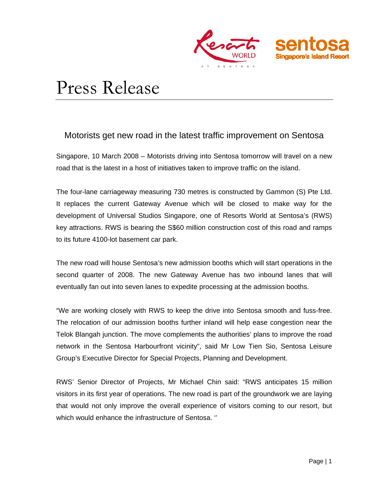

# Press Release

# Motorists get new road in the latest traffic improvement on Sentosa

Singapore, 10 March 2008 – Motorists driving into Sentosa tomorrow will travel on a new road that is the latest in a host of initiatives taken to improve traffic on the island.

The four-lane carriageway measuring 730 metres is constructed by Gammon (S) Pte Ltd. It replaces the current Gateway Avenue which will be closed to make way for the development of Universal Studios Singapore, one of Resorts World at Sentosa's (RWS) key attractions. RWS is bearing the S\$60 million construction cost of this road and ramps to its future 4100-lot basement car park.

The new road will house Sentosa's new admission booths which will start operations in the second quarter of 2008. The new Gateway Avenue has two inbound lanes that will eventually fan out into seven lanes to expedite processing at the admission booths.

"We are working closely with RWS to keep the drive into Sentosa smooth and fuss-free. The relocation of our admission booths further inland will help ease congestion near the Telok Blangah junction. The move complements the authorities' plans to improve the road network in the Sentosa Harbourfront vicinity", said Mr Low Tien Sio, Sentosa Leisure Group's Executive Director for Special Projects, Planning and Development.

RWS' Senior Director of Projects, Mr Michael Chin said: "RWS anticipates 15 million visitors in its first year of operations. The new road is part of the groundwork we are laying that would not only improve the overall experience of visitors coming to our resort, but which would enhance the infrastructure of Sentosa. ''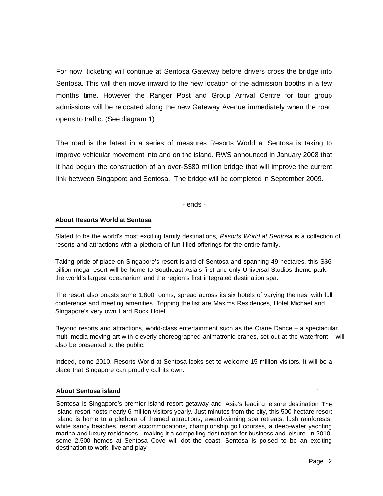For now, ticketing will continue at Sentosa Gateway before drivers cross the bridge into Sentosa. This will then move inward to the new location of the admission booths in a few months time. However the Ranger Post and Group Arrival Centre for tour group admissions will be relocated along the new Gateway Avenue immediately when the road opens to traffic. (See diagram 1)

The road is the latest in a series of measures Resorts World at Sentosa is taking to improve vehicular movement into and on the island. RWS announced in January 2008 that it had begun the construction of an over-S\$80 million bridge that will improve the current link between Singapore and Sentosa. The bridge will be completed in September 2009.

- ends -

## **About Resorts World at Sentosa**

Slated to be the world's most exciting family destinations*, Resorts World at Sentosa* is a collection of resorts and attractions with a plethora of fun-filled offerings for the entire family.

Taking pride of place on Singapore's resort island of Sentosa and spanning 49 hectares, this S\$6 billion mega-resort will be home to Southeast Asia's first and only Universal Studios theme park, the world's largest oceanarium and the region's first integrated destination spa.

The resort also boasts some 1,800 rooms, spread across its six hotels of varying themes, with full conference and meeting amenities. Topping the list are Maxims Residences, Hotel Michael and Singapore's very own Hard Rock Hotel.

Beyond resorts and attractions, world-class entertainment such as the Crane Dance – a spectacular multi-media moving art with cleverly choreographed animatronic cranes, set out at the waterfront – will also be presented to the public.

Indeed, come 2010, Resorts World at Sentosa looks set to welcome 15 million visitors. It will be a place that Singapore can proudly call its own.

### **About Sentosa island**

Sentosa is Singapore's premier island resort getaway and Asia's leading leisure destination The island resort hosts nearly 6 million visitors yearly. Just minutes from the city, this 500-hectare resort island is home to a plethora of themed attractions, award-winning spa retreats, lush rainforests, white sandy beaches, resort accommodations, championship golf courses, a deep-water yachting marina and luxury residences - making it a compelling destination for business and leisure. In 2010, some 2,500 homes at Sentosa Cove will dot the coast. Sentosa is poised to be an exciting destination to work, live and play

.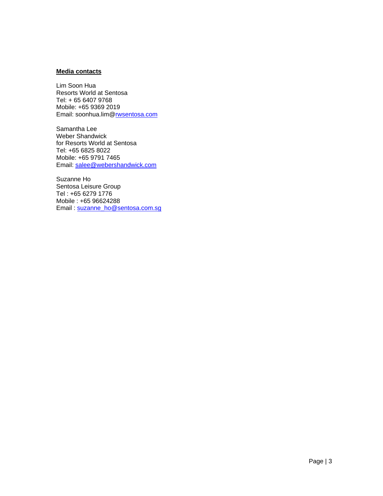#### **Media contacts**

Lim Soon Hua Resorts World at Sentosa Tel: + 65 6407 9768 Mobile: +65 9369 2019 Email: soonhua.lim@[rwsentosa.com](mailto:robin.goh@rwsentosa.com) 

Samantha Lee Weber Shandwick for Resorts World at Sentosa Tel: +65 6825 8022 Mobile: +65 9791 7465 Email: [salee@webershandwick.com](mailto:salee@webershandwick.com)

Suzanne Ho Sentosa Leisure Group Tel : +65 6279 1776 Mobile : +65 96624288 Email : [suzanne\\_ho@sentosa.com.sg](mailto:Suzanne_ho@sentosa.com.sg)